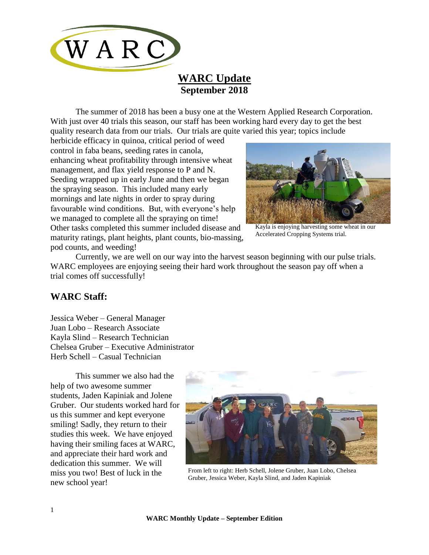

# **WARC Update September 2018**

The summer of 2018 has been a busy one at the Western Applied Research Corporation. With just over 40 trials this season, our staff has been working hard every day to get the best quality research data from our trials. Our trials are quite varied this year; topics include

herbicide efficacy in quinoa, critical period of weed control in faba beans, seeding rates in canola, enhancing wheat profitability through intensive wheat management, and flax yield response to P and N. Seeding wrapped up in early June and then we began the spraying season. This included many early mornings and late nights in order to spray during favourable wind conditions. But, with everyone's help we managed to complete all the spraying on time! Other tasks completed this summer included disease and maturity ratings, plant heights, plant counts, bio-massing, pod counts, and weeding!



Kayla is enjoying harvesting some wheat in our Accelerated Cropping Systems trial.

Currently, we are well on our way into the harvest season beginning with our pulse trials. WARC employees are enjoying seeing their hard work throughout the season pay off when a trial comes off successfully!

### **WARC Staff:**

Jessica Weber – General Manager Juan Lobo – Research Associate Kayla Slind – Research Technician Chelsea Gruber – Executive Administrator Herb Schell – Casual Technician

This summer we also had the help of two awesome summer students, Jaden Kapiniak and Jolene Gruber. Our students worked hard for us this summer and kept everyone smiling! Sadly, they return to their studies this week. We have enjoyed having their smiling faces at WARC, and appreciate their hard work and dedication this summer. We will miss you two! Best of luck in the new school year!



From left to right: Herb Schell, Jolene Gruber, Juan Lobo, Chelsea Gruber, Jessica Weber, Kayla Slind, and Jaden Kapiniak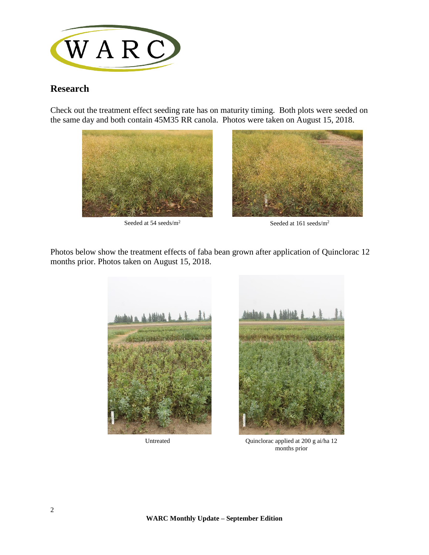

## **Research**

Check out the treatment effect seeding rate has on maturity timing. Both plots were seeded on the same day and both contain 45M35 RR canola. Photos were taken on August 15, 2018.







Photos below show the treatment effects of faba bean grown after application of Quinclorac 12 months prior. Photos taken on August 15, 2018.



Untreated

Quinclorac applied at 200 g ai/ha 12 months prior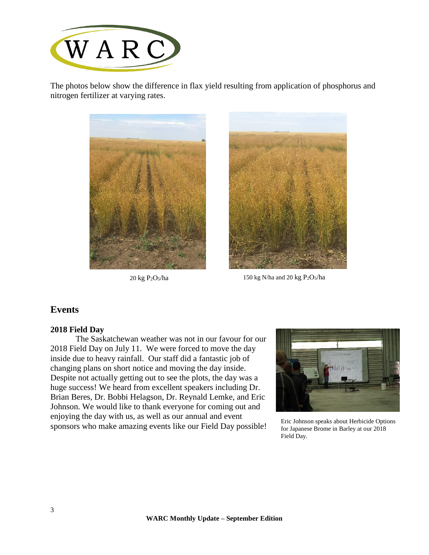

The photos below show the difference in flax yield resulting from application of phosphorus and nitrogen fertilizer at varying rates.





20 kg  $P_2O_5/ha$  150 kg N/ha and 20 kg  $P_2O_5/ha$ 

### **Events**

#### **2018 Field Day**

The Saskatchewan weather was not in our favour for our 2018 Field Day on July 11. We were forced to move the day inside due to heavy rainfall. Our staff did a fantastic job of changing plans on short notice and moving the day inside. Despite not actually getting out to see the plots, the day was a huge success! We heard from excellent speakers including Dr. Brian Beres, Dr. Bobbi Helagson, Dr. Reynald Lemke, and Eric Johnson. We would like to thank everyone for coming out and enjoying the day with us, as well as our annual and event Eric Johnson speaks about Herbicide Options<br>sponsors who make amazing events like our Field Day possible! For Japanese Brome in Barley at our 2018



for Japanese Brome in Barley at our 2018 Field Day.